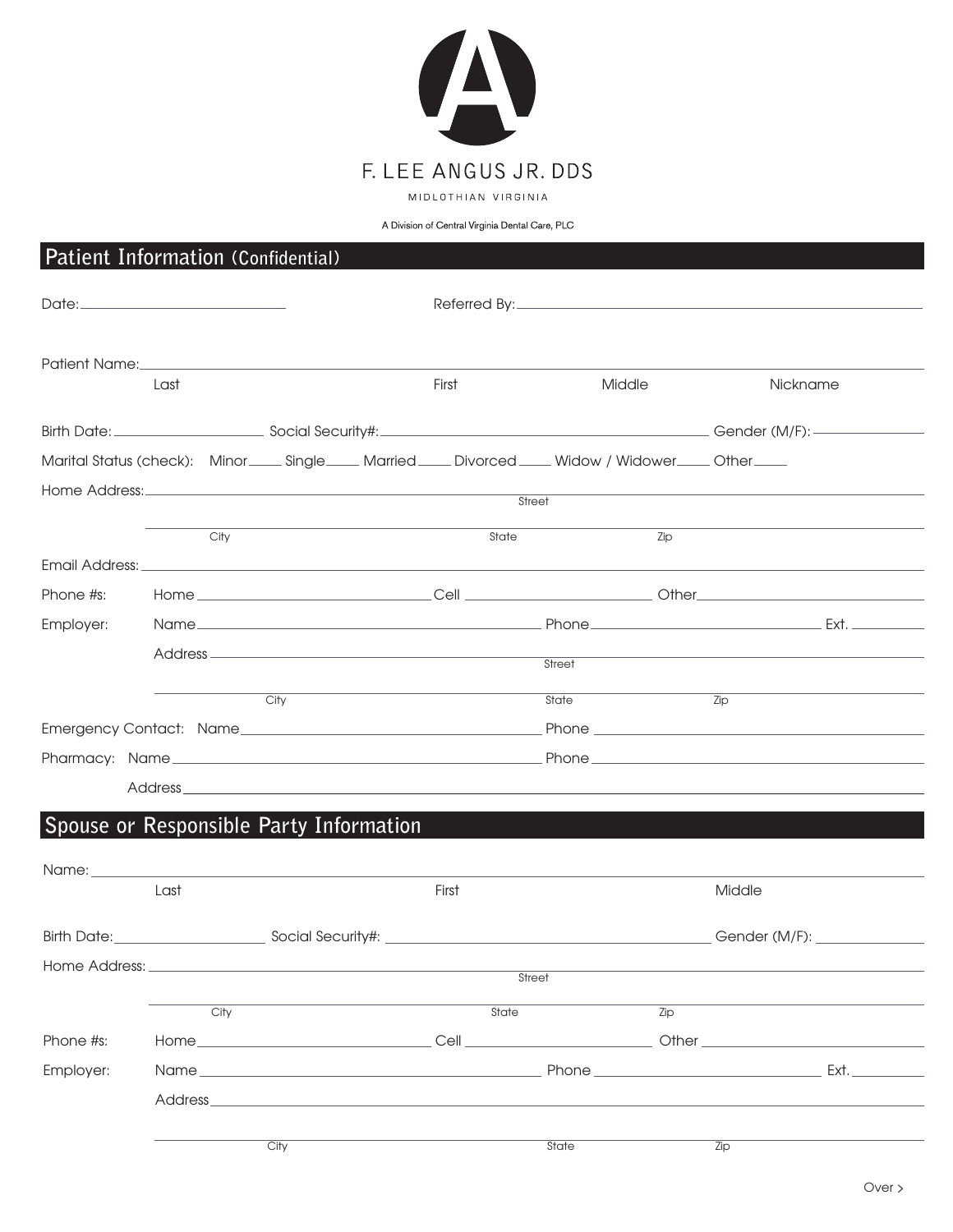

# A Division of Central Virginia Dental Care, PLC **Patient Information (Confidential)** Date: <u>Communication Communication</u> Communication Referred By: Communication Communication Communication Communication Communication Communication Communication Communication Communication Communication Communication Commu Patient Name: Last First Middle Nickname Birth Date: Social Security#: Social Security: Superinter and Security and Security and Security and Security and Security and Security and Security and Security and Security and Security and Security and Security and Secu Marital Status (check): Minor\_\_\_\_ Single \_\_\_\_ Married \_\_\_\_ Divorced \_\_\_\_ Widow / Widower \_\_\_\_ Other \_\_\_\_ Home Address: **Street** City State Zip Email Address: Phone #s: Home Cell Other Employer: Name **Name** Reserve Containing Phone Phone Phone **Ext.** Address **Street** City **State** Zip Emergency Contact: Name extending the extension of Phone Phone Phone extension of the extension of  $P$ Pharmacy: Name Phone Address<sub>—</sub> **Spouse or Responsible Party Information** Name: Last First Middle Birth Date: Social Security#: Communication Security & Social Security & Social Security & Social Security & Social Security & Social Security & Social Security & Social Security & Social Security & Social Security & Socia Home Address: **Street** City State Zip Phone #s: Home Cell Other Employer: Name Rather and the extension of the Phone Phone Ext.

City State Zip

Address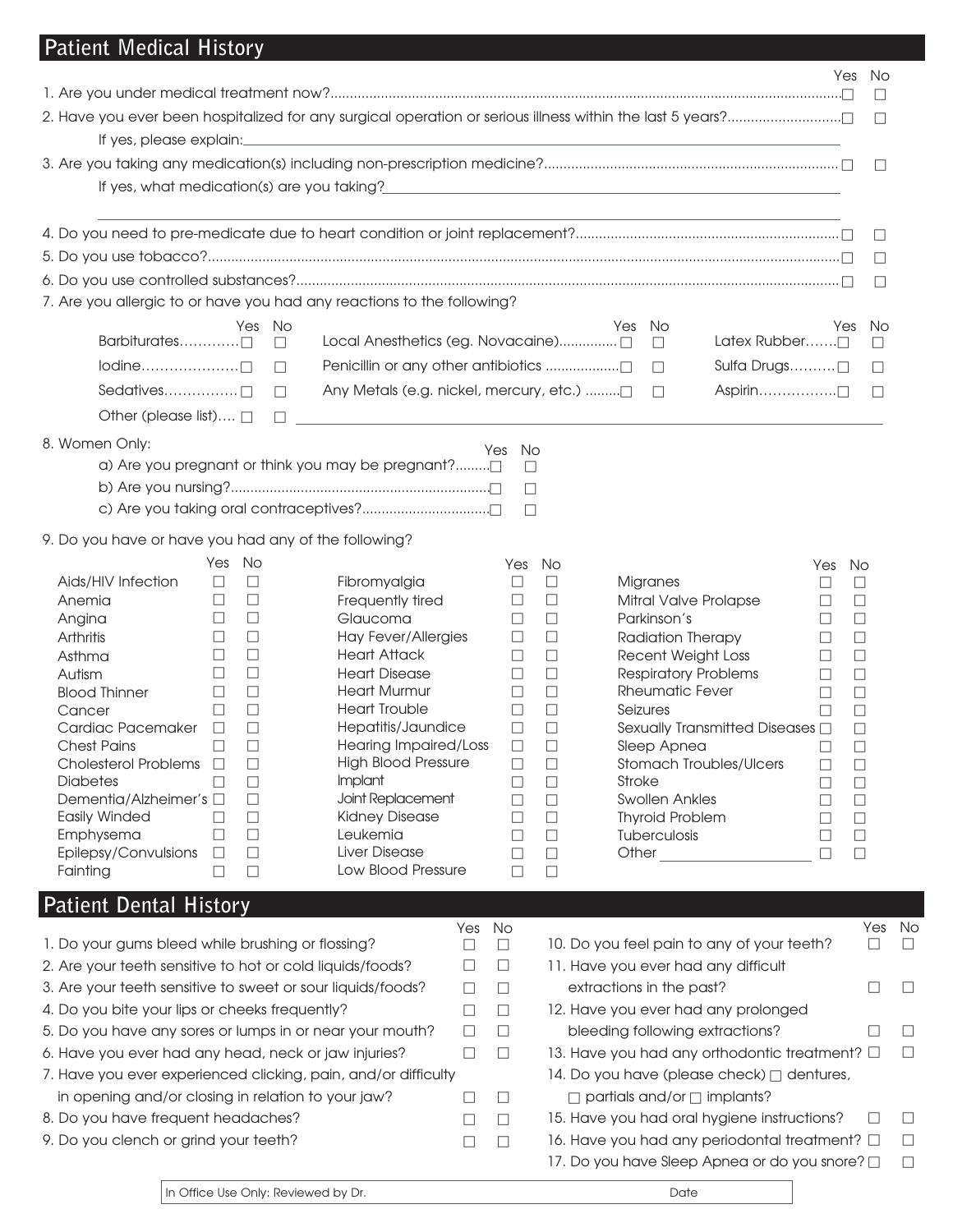# **Patient Medical History**

|                                                             |                  |                  | 2. Have you ever been hospitalized for any surgical operation or serious illness within the last 5 years?                                                                                                                       |        |                  |                  |        |                                         |                                                        |                  |                  | □<br>$\Box$      |  |
|-------------------------------------------------------------|------------------|------------------|---------------------------------------------------------------------------------------------------------------------------------------------------------------------------------------------------------------------------------|--------|------------------|------------------|--------|-----------------------------------------|--------------------------------------------------------|------------------|------------------|------------------|--|
| If yes, please explain:                                     |                  |                  | <u> 1989 - Johann Stoff, amerikansk politiker (d. 1989)</u>                                                                                                                                                                     |        |                  |                  |        |                                         |                                                        |                  |                  |                  |  |
|                                                             |                  |                  |                                                                                                                                                                                                                                 |        |                  |                  |        |                                         |                                                        |                  |                  | $\Box$           |  |
|                                                             |                  |                  | If yes, what medication(s) are you taking?<br>The manufacturer and the contract of the contract of the contract of the contract of the contract of the contract of the contract of the contract of the contract of the contract |        |                  |                  |        |                                         |                                                        |                  |                  |                  |  |
|                                                             |                  |                  |                                                                                                                                                                                                                                 |        |                  |                  |        |                                         |                                                        |                  |                  | $\Box$           |  |
|                                                             |                  |                  |                                                                                                                                                                                                                                 |        |                  |                  |        |                                         |                                                        |                  |                  | $\Box$           |  |
|                                                             |                  |                  |                                                                                                                                                                                                                                 |        |                  |                  |        |                                         |                                                        |                  |                  | $\Box$           |  |
|                                                             |                  |                  | 7. Are you allergic to or have you had any reactions to the following?                                                                                                                                                          |        |                  |                  |        |                                         |                                                        |                  |                  |                  |  |
|                                                             |                  | Yes              | No<br>$\Box$                                                                                                                                                                                                                    |        |                  |                  | Yes    | No<br>$\Box$                            | Latex Rubber□                                          |                  | Yes              | No.<br>П         |  |
|                                                             |                  |                  | Penicillin or any other antibiotics □<br>П                                                                                                                                                                                      |        |                  |                  |        | $\Box$                                  | Sulfa Drugs□                                           |                  |                  | $\Box$           |  |
| Sedatives $\Box$                                            |                  |                  | Any Metals (e.g. nickel, mercury, etc.)<br>П                                                                                                                                                                                    |        |                  |                  |        | $\Box$                                  | $Aspirin$                                              |                  |                  | П                |  |
| Other (please list) $\Box$                                  |                  |                  | $\Box$                                                                                                                                                                                                                          |        |                  |                  |        |                                         |                                                        |                  |                  |                  |  |
|                                                             |                  |                  |                                                                                                                                                                                                                                 |        |                  |                  |        |                                         |                                                        |                  |                  |                  |  |
| 8. Women Only:                                              |                  |                  |                                                                                                                                                                                                                                 |        | No<br>Yes        |                  |        |                                         |                                                        |                  |                  |                  |  |
|                                                             |                  |                  | a) Are you pregnant or think you may be pregnant?                                                                                                                                                                               |        | $\Box$           |                  |        |                                         |                                                        |                  |                  |                  |  |
|                                                             |                  |                  |                                                                                                                                                                                                                                 |        | $\Box$           |                  |        |                                         |                                                        |                  |                  |                  |  |
|                                                             |                  |                  |                                                                                                                                                                                                                                 |        | $\Box$           |                  |        |                                         |                                                        |                  |                  |                  |  |
| 9. Do you have or have you had any of the following?        |                  |                  |                                                                                                                                                                                                                                 |        |                  |                  |        |                                         |                                                        |                  |                  |                  |  |
|                                                             | Yes No           |                  |                                                                                                                                                                                                                                 |        | Yes              | No               |        |                                         |                                                        | Yes              | No               |                  |  |
| Aids/HIV Infection                                          | $\Box$           | $\Box$           | Fibromyalgia                                                                                                                                                                                                                    |        | $\Box$           | $\Box$           |        | Migranes                                |                                                        | □                | $\Box$           |                  |  |
| Anemia                                                      | $\Box$           | $\Box$           | Frequently tired                                                                                                                                                                                                                |        | $\Box$           | $\Box$           |        |                                         | Mitral Valve Prolapse                                  | $\Box$           | $\Box$           |                  |  |
| Angina                                                      | $\Box$           | $\Box$           | Glaucoma                                                                                                                                                                                                                        |        | $\Box$           | $\Box$           |        | Parkinson's                             |                                                        | $\Box$           | $\Box$           |                  |  |
| Arthritis<br>Asthma                                         | $\Box$<br>$\Box$ | $\Box$<br>$\Box$ | Hay Fever/Allergies<br><b>Heart Attack</b>                                                                                                                                                                                      |        | $\Box$<br>$\Box$ | $\Box$<br>$\Box$ |        | Radiation Therapy<br>Recent Weight Loss |                                                        | □<br>$\Box$      | $\Box$<br>$\Box$ |                  |  |
| Autism                                                      | $\Box$           | $\Box$           | <b>Heart Disease</b>                                                                                                                                                                                                            |        | $\Box$           | $\Box$           |        |                                         | <b>Respiratory Problems</b>                            | $\Box$           | $\Box$           |                  |  |
| <b>Blood Thinner</b>                                        | ⊔                | $\Box$           | <b>Heart Murmur</b>                                                                                                                                                                                                             |        | $\Box$           | $\Box$           |        | <b>Rheumatic Fever</b>                  |                                                        | $\Box$           | $\Box$           |                  |  |
| Cancer                                                      | $\perp$          | $\Box$           | <b>Heart Trouble</b>                                                                                                                                                                                                            |        | $\Box$           | $\Box$           |        | Seizures                                |                                                        | П                | □                |                  |  |
| Cardiac Pacemaker                                           | $\Box$           | $\Box$           | Hepatitis/Jaundice                                                                                                                                                                                                              |        | □                | $\Box$           |        |                                         | Sexually Transmitted Diseases $\Box$                   |                  | $\Box$           |                  |  |
| <b>Chest Pains</b>                                          | □                | □                | Hearing Impaired/Loss<br><b>High Blood Pressure</b>                                                                                                                                                                             |        | $\Box$           | $\Box$           |        | Sleep Apnea                             |                                                        | ⊔                | $\Box$           |                  |  |
| Cholesterol Problems $\Box$<br><b>Diabetes</b>              |                  | $\Box$<br>$\Box$ | <b>Implant</b>                                                                                                                                                                                                                  |        | $\Box$<br>$\Box$ | $\Box$<br>$\Box$ | Stroke |                                         | Stomach Troubles/Ulcers                                | $\Box$<br>$\Box$ | $\Box$<br>□      |                  |  |
| Dementia/Alzheimer's □                                      |                  | $\Box$           | Joint Replacement                                                                                                                                                                                                               |        | $\Box$           | $\Box$           |        | <b>Swollen Ankles</b>                   |                                                        | □                | $\Box$           |                  |  |
| Easily Winded                                               | $\Box$           | $\Box$           | <b>Kidney Disease</b>                                                                                                                                                                                                           |        | $\Box$           | $\Box$           |        | <b>Thyroid Problem</b>                  |                                                        | $\Box$           | $\Box$           |                  |  |
| Emphysema                                                   | ⊔                | $\Box$           | Leukemia                                                                                                                                                                                                                        |        | $\Box$           | $\Box$           |        | Tuberculosis                            |                                                        | □                | $\Box$           |                  |  |
| Epilepsy/Convulsions<br>Fainting                            | $\Box$<br>$\Box$ | $\Box$<br>□      | Liver Disease<br>Low Blood Pressure                                                                                                                                                                                             |        | $\Box$<br>$\Box$ | $\Box$<br>$\Box$ | Other  |                                         |                                                        | П                | $\Box$           |                  |  |
|                                                             |                  |                  |                                                                                                                                                                                                                                 |        |                  |                  |        |                                         |                                                        |                  |                  |                  |  |
| <b>Patient Dental History</b>                               |                  |                  |                                                                                                                                                                                                                                 |        |                  |                  |        |                                         |                                                        |                  |                  |                  |  |
|                                                             |                  |                  |                                                                                                                                                                                                                                 | Yes    | No               |                  |        |                                         |                                                        |                  |                  | Yes No           |  |
| 1. Do your gums bleed while brushing or flossing?           |                  |                  |                                                                                                                                                                                                                                 | □      | $\Box$           |                  |        |                                         | 10. Do you feel pain to any of your teeth?             |                  |                  | $\Box$<br>$\Box$ |  |
| 2. Are your teeth sensitive to hot or cold liquids/foods?   |                  |                  |                                                                                                                                                                                                                                 | ⊔      | $\Box$           |                  |        |                                         | 11. Have you ever had any difficult                    |                  |                  |                  |  |
| 3. Are your teeth sensitive to sweet or sour liquids/foods? |                  |                  |                                                                                                                                                                                                                                 | $\Box$ | $\Box$           |                  |        | extractions in the past?                |                                                        |                  |                  | $\Box$<br>$\Box$ |  |
| 4. Do you bite your lips or cheeks frequently?              |                  |                  |                                                                                                                                                                                                                                 | $\Box$ | $\Box$           |                  |        |                                         | 12. Have you ever had any prolonged                    |                  |                  |                  |  |
|                                                             |                  |                  | 5. Do you have any sores or lumps in or near your mouth?                                                                                                                                                                        | $\Box$ | $\Box$           |                  |        |                                         | bleeding following extractions?                        |                  |                  | ⊔<br>$\Box$      |  |
| 6. Have you ever had any head, neck or jaw injuries?        |                  |                  |                                                                                                                                                                                                                                 | $\Box$ | □                |                  |        |                                         | 13. Have you had any orthodontic treatment? $\Box$     |                  |                  | $\Box$           |  |
|                                                             |                  |                  | 7. Have you ever experienced clicking, pain, and/or difficulty                                                                                                                                                                  |        |                  |                  |        |                                         | 14. Do you have (please check) a dentures,             |                  |                  |                  |  |
| in opening and/or closing in relation to your jaw?          |                  |                  |                                                                                                                                                                                                                                 | □      | $\Box$           |                  |        |                                         | $\Box$ partials and/or $\Box$ implants?                |                  |                  |                  |  |
| 8. Do you have frequent headaches?                          |                  |                  |                                                                                                                                                                                                                                 | ⊔      | $\Box$           |                  |        |                                         | 15. Have you had oral hygiene instructions?            |                  |                  | $\Box$<br>ப      |  |
| 9. Do you clench or grind your teeth?                       |                  |                  |                                                                                                                                                                                                                                 | $\Box$ | $\Box$           |                  |        |                                         | 16. Have you had any periodontal treatment? $\square$  |                  |                  | $\Box$           |  |
|                                                             |                  |                  |                                                                                                                                                                                                                                 |        |                  |                  |        |                                         | 17. Do you have Sleep Apnea or do you snore? $\square$ |                  |                  | $\Box$           |  |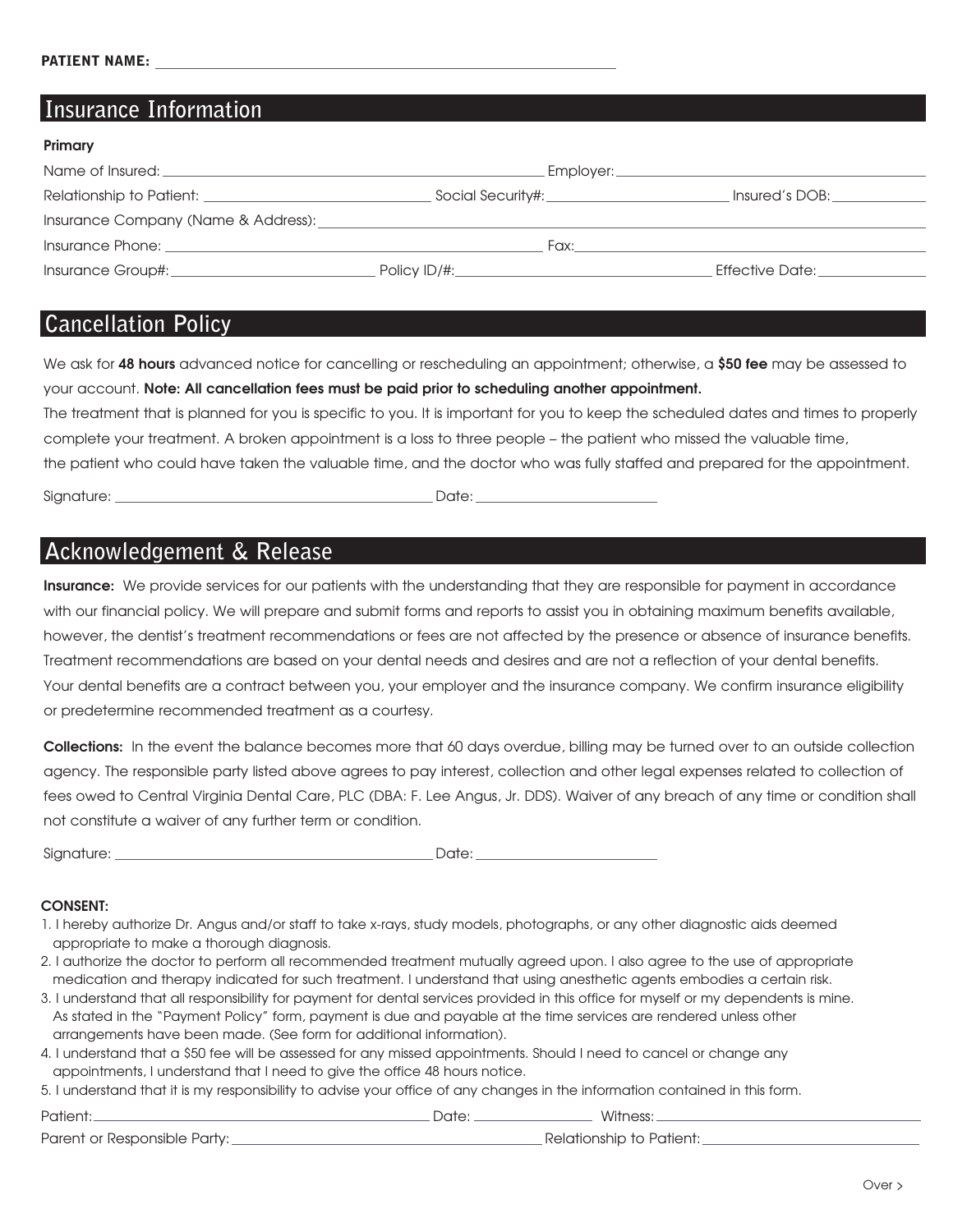**Primary**

## **Insurance Information**

| <b>FIIIIIQIY</b>                                        |                                   |                        |
|---------------------------------------------------------|-----------------------------------|------------------------|
| Name of Insured:                                        | . Employer: _                     |                        |
| Relationship to Patient: <u>_______________________</u> | Social Security#:________________ | Insured's DOB:         |
| Insurance Company (Name & Address):                     |                                   |                        |
| Insurance Phone:                                        | Fax:                              |                        |
| Insurance Group#:                                       | Policy $ID/\#$ :                  | <b>Effective Date:</b> |

## **Cancellation Policy**

We ask for **48 hours** advanced notice for cancelling or rescheduling an appointment; otherwise, a **\$50 fee** may be assessed to your account. **Note: All cancellation fees must be paid prior to scheduling another appointment.**

The treatment that is planned for you is specific to you. It is important for you to keep the scheduled dates and times to properly complete your treatment. A broken appointment is a loss to three people – the patient who missed the valuable time, the patient who could have taken the valuable time, and the doctor who was fully staffed and prepared for the appointment.

Signature: Date:

# **Acknowledgement & Release**

**Insurance:** We provide services for our patients with the understanding that they are responsible for payment in accordance with our financial policy. We will prepare and submit forms and reports to assist you in obtaining maximum benefits available, however, the dentist's treatment recommendations or fees are not affected by the presence or absence of insurance benefits. Treatment recommendations are based on your dental needs and desires and are not a reflection of your dental benefits. Your dental benefits are a contract between you, your employer and the insurance company. We confirm insurance eligibility or predetermine recommended treatment as a courtesy.

**Collections:** In the event the balance becomes more that 60 days overdue, billing may be turned over to an outside collection agency. The responsible party listed above agrees to pay interest, collection and other legal expenses related to collection of fees owed to Central Virginia Dental Care, PLC (DBA: F. Lee Angus, Jr. DDS). Waiver of any breach of any time or condition shall not constitute a waiver of any further term or condition.

| Siar<br>$\cdots$ |  |
|------------------|--|
|                  |  |

## **CONSENT:**

- 1. I hereby authorize Dr. Angus and/or staff to take x-rays, study models, photographs, or any other diagnostic aids deemed appropriate to make a thorough diagnosis.
- 2. I authorize the doctor to perform all recommended treatment mutually agreed upon. I also agree to the use of appropriate medication and therapy indicated for such treatment. I understand that using anesthetic agents embodies a certain risk.
- 3. I understand that all responsibility for payment for dental services provided in this office for myself or my dependents is mine. As stated in the "Payment Policy" form, payment is due and payable at the time services are rendered unless other arrangements have been made. (See form for additional information).
- 4. I understand that a \$50 fee will be assessed for any missed appointments. Should I need to cancel or change any appointments, I understand that I need to give the office 48 hours notice.
- 5. I understand that it is my responsibility to advise your office of any changes in the information contained in this form.

| Patient: |  |
|----------|--|
|          |  |

\_\_\_\_\_\_ Date: \_\_\_\_\_\_\_\_\_\_\_\_\_\_\_\_\_\_\_\_\_\_ Witness: \_\_

Parent or Responsible Party: The Communicationship to Patient: Legislationship to Patient: